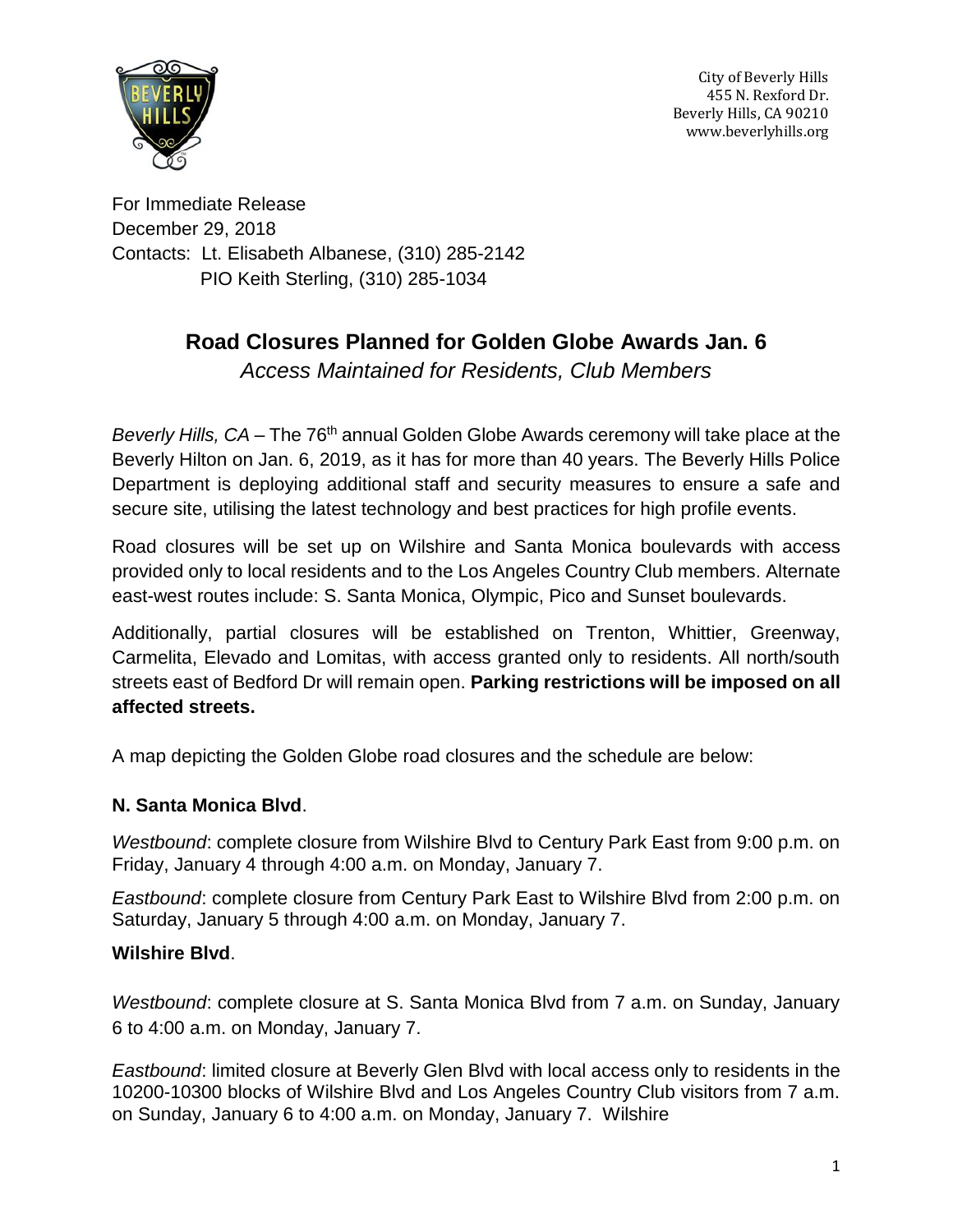

For Immediate Release December 29, 2018 Contacts: Lt. Elisabeth Albanese, (310) 285-2142 PIO Keith Sterling, (310) 285-1034

# **Road Closures Planned for Golden Globe Awards Jan. 6**

*Access Maintained for Residents, Club Members*

Beverly Hills, CA – The 76<sup>th</sup> annual Golden Globe Awards ceremony will take place at the Beverly Hilton on Jan. 6, 2019, as it has for more than 40 years. The Beverly Hills Police Department is deploying additional staff and security measures to ensure a safe and secure site, utilising the latest technology and best practices for high profile events.

Road closures will be set up on Wilshire and Santa Monica boulevards with access provided only to local residents and to the Los Angeles Country Club members. Alternate east-west routes include: S. Santa Monica, Olympic, Pico and Sunset boulevards.

Additionally, partial closures will be established on Trenton, Whittier, Greenway, Carmelita, Elevado and Lomitas, with access granted only to residents. All north/south streets east of Bedford Dr will remain open. **Parking restrictions will be imposed on all affected streets.**

A map depicting the Golden Globe road closures and the schedule are below:

# **N. Santa Monica Blvd**.

*Westbound*: complete closure from Wilshire Blvd to Century Park East from 9:00 p.m. on Friday, January 4 through 4:00 a.m. on Monday, January 7.

*Eastbound*: complete closure from Century Park East to Wilshire Blvd from 2:00 p.m. on Saturday, January 5 through 4:00 a.m. on Monday, January 7.

# **Wilshire Blvd**.

*Westbound*: complete closure at S. Santa Monica Blvd from 7 a.m. on Sunday, January 6 to 4:00 a.m. on Monday, January 7.

*Eastbound*: limited closure at Beverly Glen Blvd with local access only to residents in the 10200-10300 blocks of Wilshire Blvd and Los Angeles Country Club visitors from 7 a.m. on Sunday, January 6 to 4:00 a.m. on Monday, January 7. Wilshire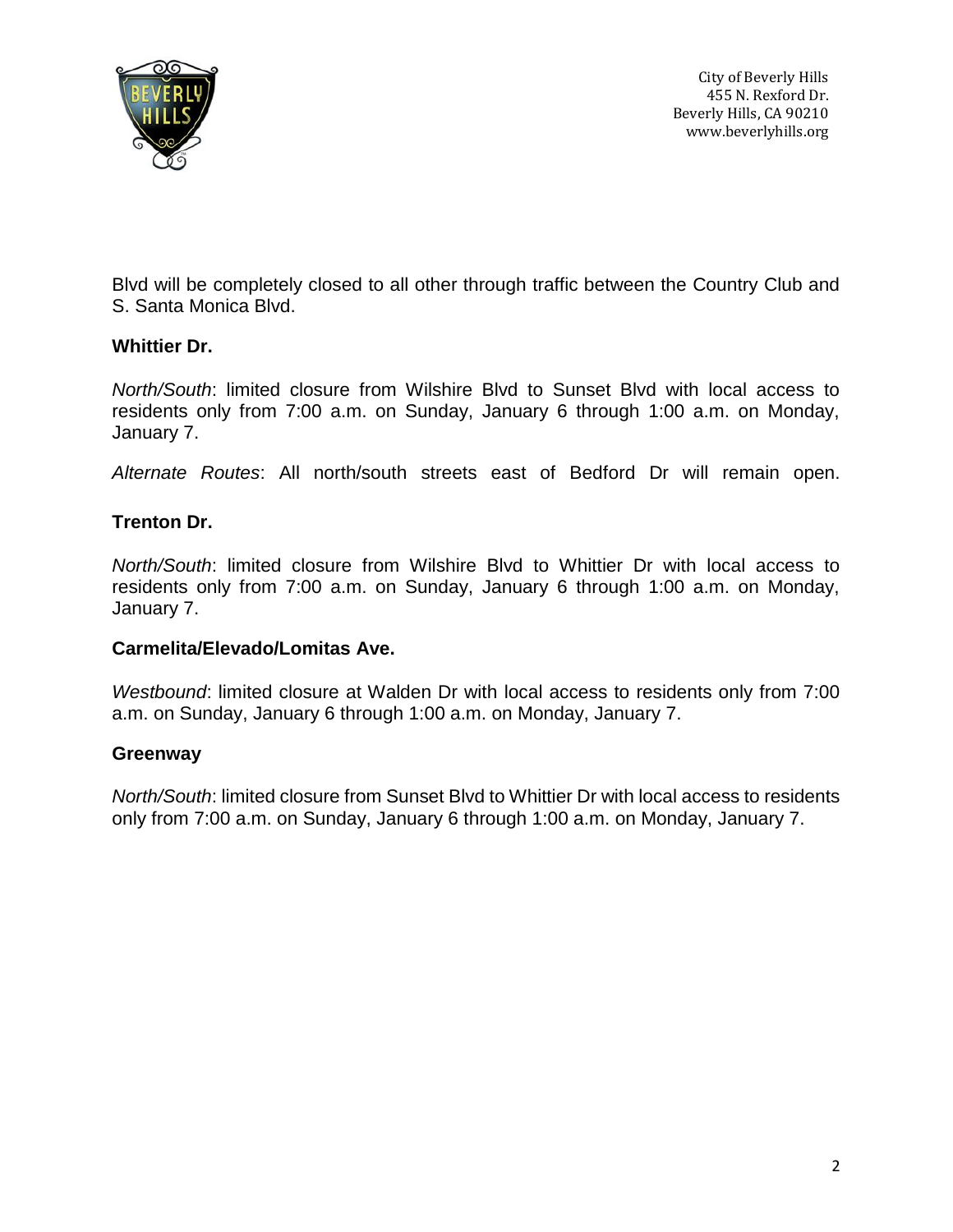

Blvd will be completely closed to all other through traffic between the Country Club and S. Santa Monica Blvd.

#### **Whittier Dr.**

*North/South*: limited closure from Wilshire Blvd to Sunset Blvd with local access to residents only from 7:00 a.m. on Sunday, January 6 through 1:00 a.m. on Monday, January 7.

*Alternate Routes*: All north/south streets east of Bedford Dr will remain open.

#### **Trenton Dr.**

*North/South*: limited closure from Wilshire Blvd to Whittier Dr with local access to residents only from 7:00 a.m. on Sunday, January 6 through 1:00 a.m. on Monday, January 7.

#### **Carmelita/Elevado/Lomitas Ave.**

*Westbound*: limited closure at Walden Dr with local access to residents only from 7:00 a.m. on Sunday, January 6 through 1:00 a.m. on Monday, January 7.

#### **Greenway**

*North/South*: limited closure from Sunset Blvd to Whittier Dr with local access to residents only from 7:00 a.m. on Sunday, January 6 through 1:00 a.m. on Monday, January 7.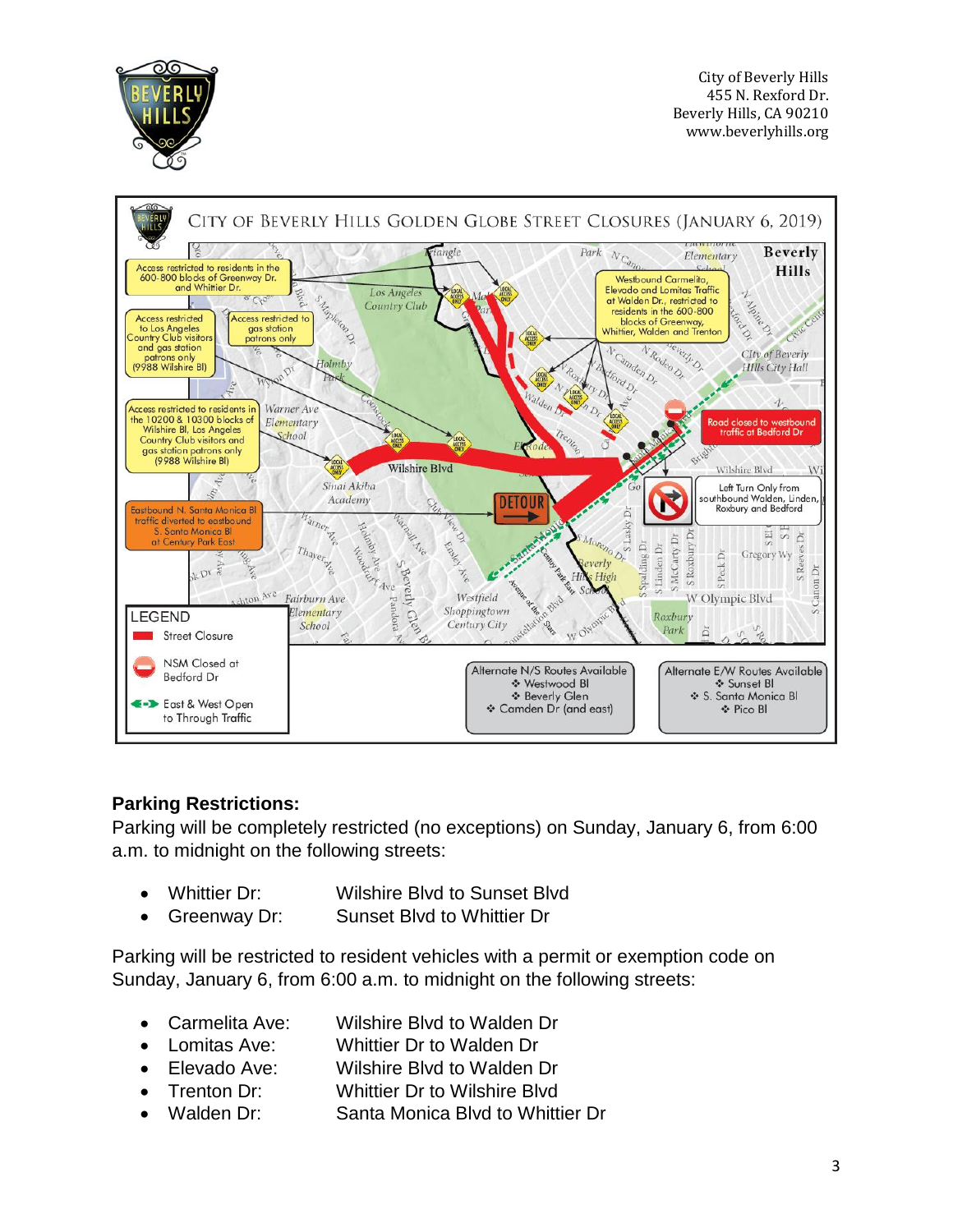



# **Parking Restrictions:**

Parking will be completely restricted (no exceptions) on Sunday, January 6, from 6:00 a.m. to midnight on the following streets:

- Whittier Dr: Wilshire Blvd to Sunset Blvd
- Greenway Dr: Sunset Blvd to Whittier Dr

Parking will be restricted to resident vehicles with a permit or exemption code on Sunday, January 6, from 6:00 a.m. to midnight on the following streets:

- Carmelita Ave: Wilshire Blvd to Walden Dr
- Lomitas Ave: Whittier Dr to Walden Dr
- Elevado Ave: Wilshire Blvd to Walden Dr
- Trenton Dr: Whittier Dr to Wilshire Blvd
- Walden Dr: Santa Monica Blvd to Whittier Dr